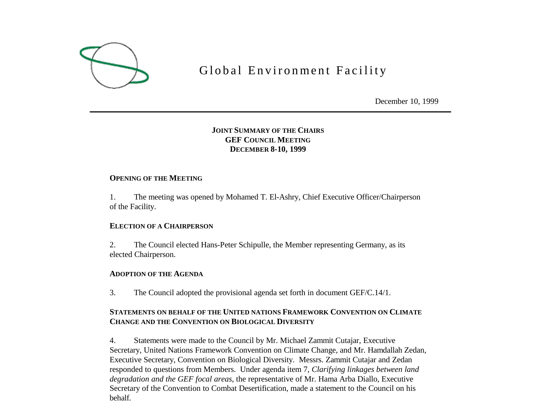

# Global Environment Facility

December 10, 1999

# **JOINT SUMMARY OF THE CHAIRS GEF COUNCIL MEETING DECEMBER 8-10, 1999**

## **OPENING OF THE MEETING**

1. The meeting was opened by Mohamed T. El-Ashry, Chief Executive Officer/Chairperson of the Facility.

## **ELECTION OF A CHAIRPERSON**

2. The Council elected Hans-Peter Schipulle, the Member representing Germany, as its elected Chairperson.

## **ADOPTION OF THE AGENDA**

3. The Council adopted the provisional agenda set forth in document GEF/C.14/1.

# **STATEMENTS ON BEHALF OF THE UNITED NATIONS FRAMEWORK CONVENTION ON CLIMATE CHANGE AND THE CONVENTION ON BIOLOGICAL DIVERSITY**

4. Statements were made to the Council by Mr. Michael Zammit Cutajar, Executive Secretary, United Nations Framework Convention on Climate Change, and Mr. Hamdallah Zedan, Executive Secretary, Convention on Biological Diversity. Messrs. Zammit Cutajar and Zedan responded to questions from Members. Under agenda item 7, *Clarifying linkages between land degradation and the GEF focal areas*, the representative of Mr. Hama Arba Diallo, Executive Secretary of the Convention to Combat Desertification, made a statement to the Council on his behalf.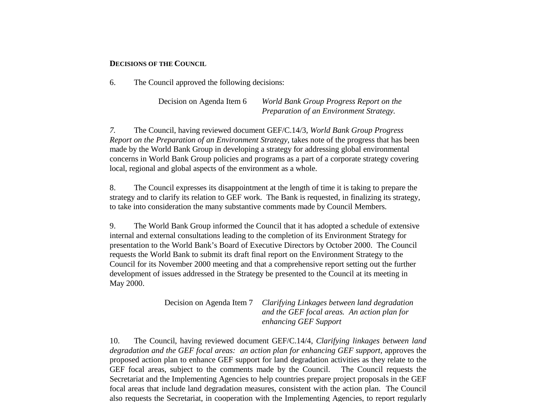#### **DECISIONS OF THE COUNCIL**

6. The Council approved the following decisions:

Decision on Agenda Item 6 *World Bank Group Progress Report on the Preparation of an Environment Strategy.*

*7.* The Council, having reviewed document GEF/C.14/3, *World Bank Group Progress Report on the Preparation of an Environment Strategy,* takes note of the progress that has been made by the World Bank Group in developing a strategy for addressing global environmental concerns in World Bank Group policies and programs as a part of a corporate strategy covering local, regional and global aspects of the environment as a whole.

8. The Council expresses its disappointment at the length of time it is taking to prepare the strategy and to clarify its relation to GEF work. The Bank is requested, in finalizing its strategy, to take into consideration the many substantive comments made by Council Members.

9. The World Bank Group informed the Council that it has adopted a schedule of extensive internal and external consultations leading to the completion of its Environment Strategy for presentation to the World Bank's Board of Executive Directors by October 2000. The Council requests the World Bank to submit its draft final report on the Environment Strategy to the Council for its November 2000 meeting and that a comprehensive report setting out the further development of issues addressed in the Strategy be presented to the Council at its meeting in May 2000.

> Decision on Agenda Item 7 *Clarifying Linkages between land degradation and the GEF focal areas. An action plan for enhancing GEF Support*

10. The Council, having reviewed document GEF/C.14/4, *Clarifying linkages between land degradation and the GEF focal areas: an action plan for enhancing GEF support*, approves the proposed action plan to enhance GEF support for land degradation activities as they relate to the GEF focal areas, subject to the comments made by the Council. The Council requests the Secretariat and the Implementing Agencies to help countries prepare project proposals in the GEF focal areas that include land degradation measures, consistent with the action plan. The Council also requests the Secretariat, in cooperation with the Implementing Agencies, to report regularly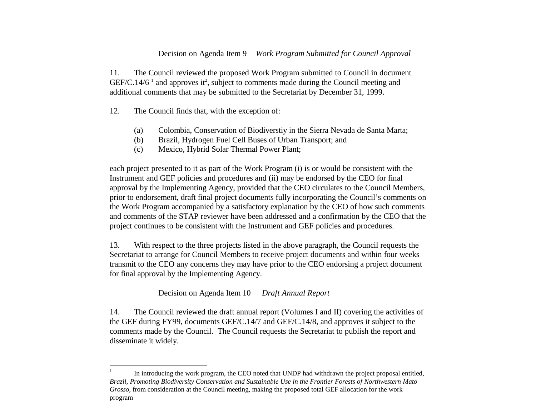## Decision on Agenda Item 9 *Work Program Submitted for Council Approval*

11. The Council reviewed the proposed Work Program submitted to Council in document  $GEF/C.14/6$ <sup>1</sup> and approves it<sup>2</sup>, subject to comments made during the Council meeting and additional comments that may be submitted to the Secretariat by December 31, 1999.

12. The Council finds that, with the exception of:

1

- (a) Colombia, Conservation of Biodiverstiy in the Sierra Nevada de Santa Marta;
- (b) Brazil, Hydrogen Fuel Cell Buses of Urban Transport; and
- (c) Mexico, Hybrid Solar Thermal Power Plant;

each project presented to it as part of the Work Program (i) is or would be consistent with the Instrument and GEF policies and procedures and (ii) may be endorsed by the CEO for final approval by the Implementing Agency, provided that the CEO circulates to the Council Members, prior to endorsement, draft final project documents fully incorporating the Council's comments on the Work Program accompanied by a satisfactory explanation by the CEO of how such comments and comments of the STAP reviewer have been addressed and a confirmation by the CEO that the project continues to be consistent with the Instrument and GEF policies and procedures.

13. With respect to the three projects listed in the above paragraph, the Council requests the Secretariat to arrange for Council Members to receive project documents and within four weeks transmit to the CEO any concerns they may have prior to the CEO endorsing a project document for final approval by the Implementing Agency.

Decision on Agenda Item 10 *Draft Annual Report*

14. The Council reviewed the draft annual report (Volumes I and II) covering the activities of the GEF during FY99, documents GEF/C.14/7 and GEF/C.14/8, and approves it subject to the comments made by the Council. The Council requests the Secretariat to publish the report and disseminate it widely.

<sup>1</sup> In introducing the work program, the CEO noted that UNDP had withdrawn the project proposal entitled, *Brazil, Promoting Biodiversity Conservation and Sustainable Use in the Frontier Forests of Northwestern Mato Grosso*, from consideration at the Council meeting, making the proposed total GEF allocation for the work program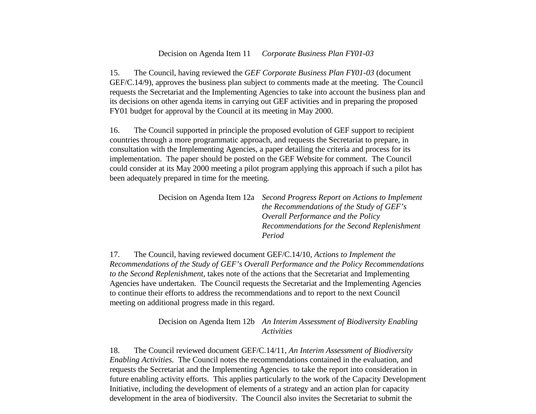#### Decision on Agenda Item 11 *Corporate Business Plan FY01-03*

15. The Council, having reviewed the *GEF Corporate Business Plan FY01-03* (document GEF/C.14/9), approves the business plan subject to comments made at the meeting. The Council requests the Secretariat and the Implementing Agencies to take into account the business plan and its decisions on other agenda items in carrying out GEF activities and in preparing the proposed FY01 budget for approval by the Council at its meeting in May 2000.

16. The Council supported in principle the proposed evolution of GEF support to recipient countries through a more programmatic approach, and requests the Secretariat to prepare, in consultation with the Implementing Agencies, a paper detailing the criteria and process for its implementation. The paper should be posted on the GEF Website for comment. The Council could consider at its May 2000 meeting a pilot program applying this approach if such a pilot has been adequately prepared in time for the meeting.

| Decision on Agenda Item 12a Second Progress Report on Actions to Implement |
|----------------------------------------------------------------------------|
| the Recommendations of the Study of GEF's                                  |
| Overall Performance and the Policy                                         |
| Recommendations for the Second Replenishment                               |
| Period                                                                     |
|                                                                            |

17. The Council, having reviewed document GEF/C.14/10, *Actions to Implement the Recommendations of the Study of GEF's Overall Performance and the Policy Recommendations to the Second Replenishment*, takes note of the actions that the Secretariat and Implementing Agencies have undertaken. The Council requests the Secretariat and the Implementing Agencies to continue their efforts to address the recommendations and to report to the next Council meeting on additional progress made in this regard.

> Decision on Agenda Item 12b *An Interim Assessment of Biodiversity Enabling Activities*

18. The Council reviewed document GEF/C.14/11, *An Interim Assessment of Biodiversity Enabling Activities*. The Council notes the recommendations contained in the evaluation, and requests the Secretariat and the Implementing Agencies to take the report into consideration in future enabling activity efforts. This applies particularly to the work of the Capacity Development Initiative, including the development of elements of a strategy and an action plan for capacity development in the area of biodiversity. The Council also invites the Secretariat to submit the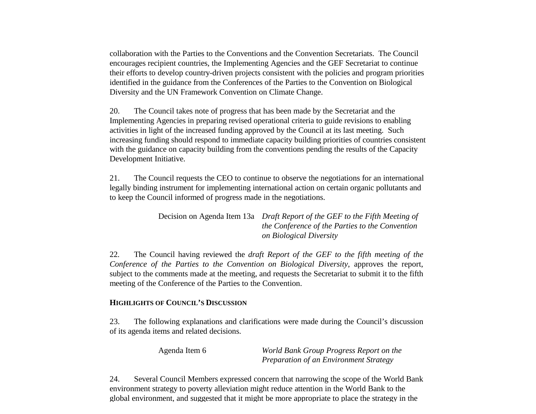collaboration with the Parties to the Conventions and the Convention Secretariats. The Council encourages recipient countries, the Implementing Agencies and the GEF Secretariat to continue their efforts to develop country-driven projects consistent with the policies and program priorities identified in the guidance from the Conferences of the Parties to the Convention on Biological Diversity and the UN Framework Convention on Climate Change.

20. The Council takes note of progress that has been made by the Secretariat and the Implementing Agencies in preparing revised operational criteria to guide revisions to enabling activities in light of the increased funding approved by the Council at its last meeting. Such increasing funding should respond to immediate capacity building priorities of countries consistent with the guidance on capacity building from the conventions pending the results of the Capacity Development Initiative.

21. The Council requests the CEO to continue to observe the negotiations for an international legally binding instrument for implementing international action on certain organic pollutants and to keep the Council informed of progress made in the negotiations.

> Decision on Agenda Item 13a *Draft Report of the GEF to the Fifth Meeting of the Conference of the Parties to the Convention on Biological Diversity*

22*.* The Council having reviewed the *draft Report of the GEF to the fifth meeting of the Conference of the Parties to the Convention on Biological Diversity*, approves the report, subject to the comments made at the meeting, and requests the Secretariat to submit it to the fifth meeting of the Conference of the Parties to the Convention.

## **HIGHLIGHTS OF COUNCIL'S DISCUSSION**

23. The following explanations and clarifications were made during the Council's discussion of its agenda items and related decisions.

Agenda Item 6 *World Bank Group Progress Report on the Preparation of an Environment Strategy*

24. Several Council Members expressed concern that narrowing the scope of the World Bank environment strategy to poverty alleviation might reduce attention in the World Bank to the global environment, and suggested that it might be more appropriate to place the strategy in the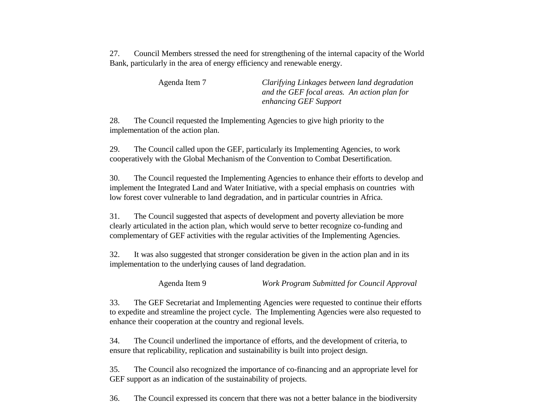27. Council Members stressed the need for strengthening of the internal capacity of the World Bank, particularly in the area of energy efficiency and renewable energy.

| Agenda Item 7 | Clarifying Linkages between land degradation |
|---------------|----------------------------------------------|
|               | and the GEF focal areas. An action plan for  |
|               | enhancing GEF Support                        |

28. The Council requested the Implementing Agencies to give high priority to the implementation of the action plan.

29. The Council called upon the GEF, particularly its Implementing Agencies, to work cooperatively with the Global Mechanism of the Convention to Combat Desertification.

30. The Council requested the Implementing Agencies to enhance their efforts to develop and implement the Integrated Land and Water Initiative, with a special emphasis on countries with low forest cover vulnerable to land degradation, and in particular countries in Africa.

31. The Council suggested that aspects of development and poverty alleviation be more clearly articulated in the action plan, which would serve to better recognize co-funding and complementary of GEF activities with the regular activities of the Implementing Agencies.

32. It was also suggested that stronger consideration be given in the action plan and in its implementation to the underlying causes of land degradation.

Agenda Item 9 *Work Program Submitted for Council Approval*

33. The GEF Secretariat and Implementing Agencies were requested to continue their efforts to expedite and streamline the project cycle. The Implementing Agencies were also requested to enhance their cooperation at the country and regional levels.

34. The Council underlined the importance of efforts, and the development of criteria, to ensure that replicability, replication and sustainability is built into project design.

35. The Council also recognized the importance of co-financing and an appropriate level for GEF support as an indication of the sustainability of projects.

36. The Council expressed its concern that there was not a better balance in the biodiversity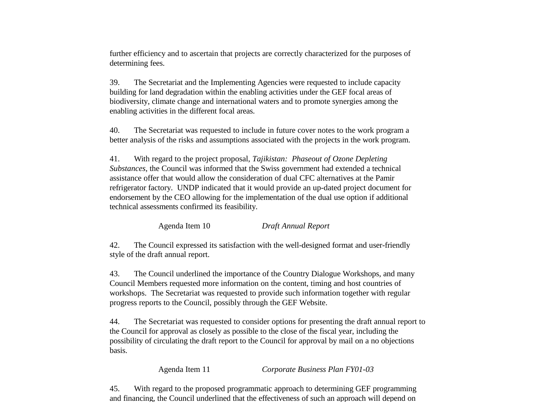further efficiency and to ascertain that projects are correctly characterized for the purposes of determining fees.

39. The Secretariat and the Implementing Agencies were requested to include capacity building for land degradation within the enabling activities under the GEF focal areas of biodiversity, climate change and international waters and to promote synergies among the enabling activities in the different focal areas.

40. The Secretariat was requested to include in future cover notes to the work program a better analysis of the risks and assumptions associated with the projects in the work program.

41. With regard to the project proposal, *Tajikistan: Phaseout of Ozone Depleting Substances*, the Council was informed that the Swiss government had extended a technical assistance offer that would allow the consideration of dual CFC alternatives at the Pamir refrigerator factory. UNDP indicated that it would provide an up-dated project document for endorsement by the CEO allowing for the implementation of the dual use option if additional technical assessments confirmed its feasibility.

Agenda Item 10 *Draft Annual Report*

42. The Council expressed its satisfaction with the well-designed format and user-friendly style of the draft annual report.

43. The Council underlined the importance of the Country Dialogue Workshops, and many Council Members requested more information on the content, timing and host countries of workshops. The Secretariat was requested to provide such information together with regular progress reports to the Council, possibly through the GEF Website.

44. The Secretariat was requested to consider options for presenting the draft annual report to the Council for approval as closely as possible to the close of the fiscal year, including the possibility of circulating the draft report to the Council for approval by mail on a no objections basis.

Agenda Item 11 *Corporate Business Plan FY01-03*

45. With regard to the proposed programmatic approach to determining GEF programming and financing, the Council underlined that the effectiveness of such an approach will depend on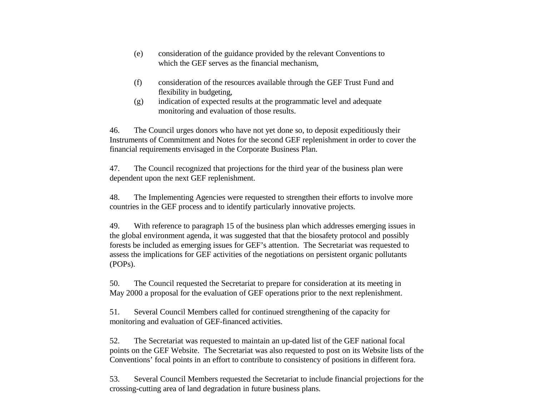- (e) consideration of the guidance provided by the relevant Conventions to which the GEF serves as the financial mechanism,
- (f) consideration of the resources available through the GEF Trust Fund and flexibility in budgeting,
- (g) indication of expected results at the programmatic level and adequate monitoring and evaluation of those results.

46. The Council urges donors who have not yet done so, to deposit expeditiously their Instruments of Commitment and Notes for the second GEF replenishment in order to cover the financial requirements envisaged in the Corporate Business Plan.

47. The Council recognized that projections for the third year of the business plan were dependent upon the next GEF replenishment.

48. The Implementing Agencies were requested to strengthen their efforts to involve more countries in the GEF process and to identify particularly innovative projects.

49. With reference to paragraph 15 of the business plan which addresses emerging issues in the global environment agenda, it was suggested that that the biosafety protocol and possibly forests be included as emerging issues for GEF's attention. The Secretariat was requested to assess the implications for GEF activities of the negotiations on persistent organic pollutants (POPs).

50. The Council requested the Secretariat to prepare for consideration at its meeting in May 2000 a proposal for the evaluation of GEF operations prior to the next replenishment.

51. Several Council Members called for continued strengthening of the capacity for monitoring and evaluation of GEF-financed activities.

52. The Secretariat was requested to maintain an up-dated list of the GEF national focal points on the GEF Website. The Secretariat was also requested to post on its Website lists of the Conventions' focal points in an effort to contribute to consistency of positions in different fora.

53. Several Council Members requested the Secretariat to include financial projections for the crossing-cutting area of land degradation in future business plans.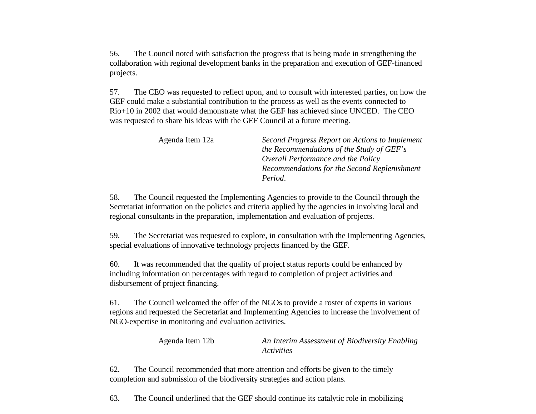56. The Council noted with satisfaction the progress that is being made in strengthening the collaboration with regional development banks in the preparation and execution of GEF-financed projects.

57. The CEO was requested to reflect upon, and to consult with interested parties, on how the GEF could make a substantial contribution to the process as well as the events connected to Rio+10 in 2002 that would demonstrate what the GEF has achieved since UNCED. The CEO was requested to share his ideas with the GEF Council at a future meeting.

| Agenda Item 12a | Second Progress Report on Actions to Implement |
|-----------------|------------------------------------------------|
|                 | the Recommendations of the Study of GEF's      |
|                 | Overall Performance and the Policy             |
|                 | Recommendations for the Second Replenishment   |
|                 | Period.                                        |

58. The Council requested the Implementing Agencies to provide to the Council through the Secretariat information on the policies and criteria applied by the agencies in involving local and regional consultants in the preparation, implementation and evaluation of projects.

59. The Secretariat was requested to explore, in consultation with the Implementing Agencies, special evaluations of innovative technology projects financed by the GEF.

60. It was recommended that the quality of project status reports could be enhanced by including information on percentages with regard to completion of project activities and disbursement of project financing.

61. The Council welcomed the offer of the NGOs to provide a roster of experts in various regions and requested the Secretariat and Implementing Agencies to increase the involvement of NGO-expertise in monitoring and evaluation activities.

> Agenda Item 12b *An Interim Assessment of Biodiversity Enabling Activities*

62. The Council recommended that more attention and efforts be given to the timely completion and submission of the biodiversity strategies and action plans.

63. The Council underlined that the GEF should continue its catalytic role in mobilizing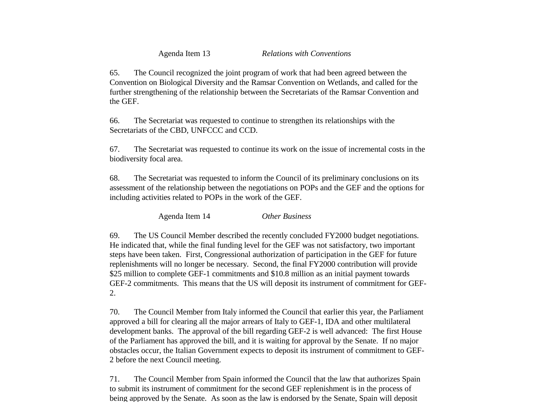Agenda Item 13 *Relations with Conventions*

65. The Council recognized the joint program of work that had been agreed between the Convention on Biological Diversity and the Ramsar Convention on Wetlands, and called for the further strengthening of the relationship between the Secretariats of the Ramsar Convention and the GEF.

66. The Secretariat was requested to continue to strengthen its relationships with the Secretariats of the CBD, UNFCCC and CCD.

67. The Secretariat was requested to continue its work on the issue of incremental costs in the biodiversity focal area.

68. The Secretariat was requested to inform the Council of its preliminary conclusions on its assessment of the relationship between the negotiations on POPs and the GEF and the options for including activities related to POPs in the work of the GEF.

Agenda Item 14 *Other Business*

69. The US Council Member described the recently concluded FY2000 budget negotiations. He indicated that, while the final funding level for the GEF was not satisfactory, two important steps have been taken. First, Congressional authorization of participation in the GEF for future replenishments will no longer be necessary. Second, the final FY2000 contribution will provide \$25 million to complete GEF-1 commitments and \$10.8 million as an initial payment towards GEF-2 commitments. This means that the US will deposit its instrument of commitment for GEF-2.

70. The Council Member from Italy informed the Council that earlier this year, the Parliament approved a bill for clearing all the major arrears of Italy to GEF-1, IDA and other multilateral development banks. The approval of the bill regarding GEF-2 is well advanced: The first House of the Parliament has approved the bill, and it is waiting for approval by the Senate. If no major obstacles occur, the Italian Government expects to deposit its instrument of commitment to GEF-2 before the next Council meeting.

71. The Council Member from Spain informed the Council that the law that authorizes Spain to submit its instrument of commitment for the second GEF replenishment is in the process of being approved by the Senate. As soon as the law is endorsed by the Senate, Spain will deposit